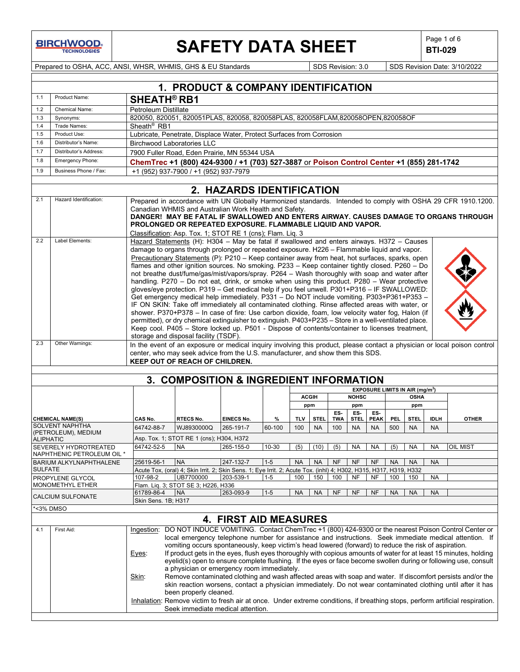**BIRCHWOOD** 

# **SAFETY DATA SHEET**  $\left|\begin{array}{cc} \text{Page 1 of 6} \\ \text{BIT-029} \end{array}\right|$

**BTI-029**

Prepared to OSHA, ACC, ANSI, WHSR, WHMIS, GHS & EU Standards Superinted Superinted Superinted Superinted States 3/10/2022

| Product Name:<br>1.1<br>SHEATH <sup>®</sup> RB1<br>1.2<br>Petroleum Distillate<br>Chemical Name:<br>820050, 820051, 820051PLAS, 820058, 820058PLAS, 820058FLAM, 820058OPEN, 820058OF<br>1.3<br>Synonyms:<br>Sheath <sup>®</sup> RB1<br>1.4<br>Trade Names:<br>Lubricate, Penetrate, Displace Water, Protect Surfaces from Corrosion<br>1.5<br>Product Use:<br>1.6<br>Distributor's Name:<br><b>Birchwood Laboratories LLC</b><br>1.7<br>Distributor's Address:<br>7900 Fuller Road, Eden Prairie, MN 55344 USA<br>1.8<br>Emergency Phone:<br>ChemTrec +1 (800) 424-9300 / +1 (703) 527-3887 or Poison Control Center +1 (855) 281-1742<br>Business Phone / Fax:<br>1.9<br>+1 (952) 937-7900 / +1 (952) 937-7979<br>2. HAZARDS IDENTIFICATION<br>Hazard Identification:<br>2.1<br>Canadian WHMIS and Australian Work Health and Safety.<br>PROLONGED OR REPEATED EXPOSURE. FLAMMABLE LIQUID AND VAPOR.<br>Classification: Asp. Tox. 1; STOT RE 1 (cns); Flam. Liq. 3<br>Label Elements:<br>2.2<br>Hazard Statements (H): H304 - May be fatal if swallowed and enters airways. H372 - Causes<br>damage to organs through prolonged or repeated exposure. H226 - Flammable liquid and vapor.<br>Precautionary Statements (P): $P210 - Keep$ container away from heat, hot surfaces, sparks, open<br>flames and other ignition sources. No smoking. P233 - Keep container tightly closed. P260 - Do<br>not breathe dust/fume/gas/mist/vapors/spray. P264 - Wash thoroughly with soap and water after<br>handling. P270 - Do not eat, drink, or smoke when using this product. P280 - Wear protective<br>gloves/eye protection. P319 - Get medical help if you feel unwell. P301+P316 - IF SWALLOWED:<br>Get emergency medical help immediately. P331 - Do NOT include vomiting. P303+P361+P353 -<br>IF ON SKIN: Take off immediately all contaminated clothing. Rinse affected areas with water, or<br>shower. P370+P378 - In case of fire: Use carbon dioxide, foam, low velocity water fog, Halon (if<br>permitted), or dry chemical extinguisher to extinguish. P403+P235 - Store in a well-ventilated place.<br>Keep cool. P405 - Store locked up. P501 - Dispose of contents/container to licenses treatment,<br>storage and disposal facility (TSDF).<br>Other Warnings:<br>2.3<br>center, who may seek advice from the U.S. manufacturer, and show them this SDS.<br><b>KEEP OUT OF REACH OF CHILDREN.</b><br>3. COMPOSITION & INGREDIENT INFORMATION<br><b>EXPOSURE LIMITS IN AIR (mg/m<sup>3</sup>)</b><br><b>NOHSC</b><br><b>OSHA</b><br><b>ACGIH</b><br>ppm<br>ppm<br>ppm<br>ES-<br>ES-<br>ES-<br><b>EINECS No.</b><br><b>PEAK</b><br><b>CHEMICAL NAME(S)</b><br>CAS No.<br><b>RTECS No.</b><br>%<br><b>TLV</b><br><b>STEL</b><br><b>TWA</b><br>STEL.<br><b>PEL</b><br><b>STEL</b><br><b>IDLH</b><br><b>SOLVENT NAPHTHA</b><br>64742-88-7<br>WJ8930000Q<br>265-191-7<br>60-100<br>100<br><b>NA</b><br><b>NA</b><br>100<br><b>NA</b><br>500<br><b>NA</b><br><b>NA</b><br>(PETROLEUM), MEDIUM<br>Asp. Tox. 1; STOT RE 1 (cns); H304, H372<br><b>ALIPHATIC</b><br>64742-52-5<br><b>NA</b><br>265-155-0<br>10-30<br>(5)<br>(10)<br>(5)<br><b>NA</b><br><b>NA</b><br><b>NA</b><br>(5)<br>NA<br>SEVERELY HYDROTREATED<br>NAPHTHENIC PETROLEUM OIL *<br>25619-56-1 NA<br>247-132-7<br>NANANENENENENANA<br>BARIUM ALKYLNAPHTHALENE<br>$1 - 5$<br><b>NA</b><br><b>SULFATE</b><br>Acute Tox, (oral) 4; Skin Irrit. 2; Skin Sens. 1; Eye Irrit. 2; Acute Tox. (inhl) 4; H302, H315, H317, H319, H332<br>UB7700000<br>203-539-1<br>$1 - 5$<br>PROPYLENE GLYCOL<br>107-98-2<br>100<br>150<br>100<br>NF<br>NF<br>100<br>150<br>NA<br>MONOMETHYL ETHER<br>Flam. Lig. 3; STOT SE 3; H226, H336<br>61789-86-4<br>263-093-9<br>$1 - 5$<br><b>NA</b><br><b>NA</b><br><b>NA</b><br>NF<br>NF<br><b>NF</b><br>NA.<br>NA.<br>NA<br>CALCIUM SULFONATE<br>Skin Sens. 1B; H317<br><3% DMSO | Prepared in accordance with UN Globally Harmonized standards. Intended to comply with OSHA 29 CFR 1910.1200.<br>DANGER! MAY BE FATAL IF SWALLOWED AND ENTERS AIRWAY. CAUSES DAMAGE TO ORGANS THROUGH                                                                                                                                                                                                                                                                                                                                                                                                                                                                                                                                                                                                                                                                                                                                                                                                                                                         |
|-------------------------------------------------------------------------------------------------------------------------------------------------------------------------------------------------------------------------------------------------------------------------------------------------------------------------------------------------------------------------------------------------------------------------------------------------------------------------------------------------------------------------------------------------------------------------------------------------------------------------------------------------------------------------------------------------------------------------------------------------------------------------------------------------------------------------------------------------------------------------------------------------------------------------------------------------------------------------------------------------------------------------------------------------------------------------------------------------------------------------------------------------------------------------------------------------------------------------------------------------------------------------------------------------------------------------------------------------------------------------------------------------------------------------------------------------------------------------------------------------------------------------------------------------------------------------------------------------------------------------------------------------------------------------------------------------------------------------------------------------------------------------------------------------------------------------------------------------------------------------------------------------------------------------------------------------------------------------------------------------------------------------------------------------------------------------------------------------------------------------------------------------------------------------------------------------------------------------------------------------------------------------------------------------------------------------------------------------------------------------------------------------------------------------------------------------------------------------------------------------------------------------------------------------------------------------------------------------------------------------------------------------------------------------------------------------------------------------------------------------------------------------------------------------------------------------------------------------------------------------------------------------------------------------------------------------------------------------------------------------------------------------------------------------------------------------------------------------------------------------------------------------------------------------------------------------------------------------------------------------------------------------------------------------------------------------------------------------------------------------------------------------------------------------------------------------------------------------------------------------------------------------------------------------------------------------------------------------------------------------------------------------------------------------------------------------------------------------------------------------------------------------------------------------------------------------------------------------------------------------|--------------------------------------------------------------------------------------------------------------------------------------------------------------------------------------------------------------------------------------------------------------------------------------------------------------------------------------------------------------------------------------------------------------------------------------------------------------------------------------------------------------------------------------------------------------------------------------------------------------------------------------------------------------------------------------------------------------------------------------------------------------------------------------------------------------------------------------------------------------------------------------------------------------------------------------------------------------------------------------------------------------------------------------------------------------|
|                                                                                                                                                                                                                                                                                                                                                                                                                                                                                                                                                                                                                                                                                                                                                                                                                                                                                                                                                                                                                                                                                                                                                                                                                                                                                                                                                                                                                                                                                                                                                                                                                                                                                                                                                                                                                                                                                                                                                                                                                                                                                                                                                                                                                                                                                                                                                                                                                                                                                                                                                                                                                                                                                                                                                                                                                                                                                                                                                                                                                                                                                                                                                                                                                                                                                                                                                                                                                                                                                                                                                                                                                                                                                                                                                                                                                                                                         |                                                                                                                                                                                                                                                                                                                                                                                                                                                                                                                                                                                                                                                                                                                                                                                                                                                                                                                                                                                                                                                              |
|                                                                                                                                                                                                                                                                                                                                                                                                                                                                                                                                                                                                                                                                                                                                                                                                                                                                                                                                                                                                                                                                                                                                                                                                                                                                                                                                                                                                                                                                                                                                                                                                                                                                                                                                                                                                                                                                                                                                                                                                                                                                                                                                                                                                                                                                                                                                                                                                                                                                                                                                                                                                                                                                                                                                                                                                                                                                                                                                                                                                                                                                                                                                                                                                                                                                                                                                                                                                                                                                                                                                                                                                                                                                                                                                                                                                                                                                         |                                                                                                                                                                                                                                                                                                                                                                                                                                                                                                                                                                                                                                                                                                                                                                                                                                                                                                                                                                                                                                                              |
|                                                                                                                                                                                                                                                                                                                                                                                                                                                                                                                                                                                                                                                                                                                                                                                                                                                                                                                                                                                                                                                                                                                                                                                                                                                                                                                                                                                                                                                                                                                                                                                                                                                                                                                                                                                                                                                                                                                                                                                                                                                                                                                                                                                                                                                                                                                                                                                                                                                                                                                                                                                                                                                                                                                                                                                                                                                                                                                                                                                                                                                                                                                                                                                                                                                                                                                                                                                                                                                                                                                                                                                                                                                                                                                                                                                                                                                                         |                                                                                                                                                                                                                                                                                                                                                                                                                                                                                                                                                                                                                                                                                                                                                                                                                                                                                                                                                                                                                                                              |
|                                                                                                                                                                                                                                                                                                                                                                                                                                                                                                                                                                                                                                                                                                                                                                                                                                                                                                                                                                                                                                                                                                                                                                                                                                                                                                                                                                                                                                                                                                                                                                                                                                                                                                                                                                                                                                                                                                                                                                                                                                                                                                                                                                                                                                                                                                                                                                                                                                                                                                                                                                                                                                                                                                                                                                                                                                                                                                                                                                                                                                                                                                                                                                                                                                                                                                                                                                                                                                                                                                                                                                                                                                                                                                                                                                                                                                                                         |                                                                                                                                                                                                                                                                                                                                                                                                                                                                                                                                                                                                                                                                                                                                                                                                                                                                                                                                                                                                                                                              |
|                                                                                                                                                                                                                                                                                                                                                                                                                                                                                                                                                                                                                                                                                                                                                                                                                                                                                                                                                                                                                                                                                                                                                                                                                                                                                                                                                                                                                                                                                                                                                                                                                                                                                                                                                                                                                                                                                                                                                                                                                                                                                                                                                                                                                                                                                                                                                                                                                                                                                                                                                                                                                                                                                                                                                                                                                                                                                                                                                                                                                                                                                                                                                                                                                                                                                                                                                                                                                                                                                                                                                                                                                                                                                                                                                                                                                                                                         |                                                                                                                                                                                                                                                                                                                                                                                                                                                                                                                                                                                                                                                                                                                                                                                                                                                                                                                                                                                                                                                              |
|                                                                                                                                                                                                                                                                                                                                                                                                                                                                                                                                                                                                                                                                                                                                                                                                                                                                                                                                                                                                                                                                                                                                                                                                                                                                                                                                                                                                                                                                                                                                                                                                                                                                                                                                                                                                                                                                                                                                                                                                                                                                                                                                                                                                                                                                                                                                                                                                                                                                                                                                                                                                                                                                                                                                                                                                                                                                                                                                                                                                                                                                                                                                                                                                                                                                                                                                                                                                                                                                                                                                                                                                                                                                                                                                                                                                                                                                         |                                                                                                                                                                                                                                                                                                                                                                                                                                                                                                                                                                                                                                                                                                                                                                                                                                                                                                                                                                                                                                                              |
|                                                                                                                                                                                                                                                                                                                                                                                                                                                                                                                                                                                                                                                                                                                                                                                                                                                                                                                                                                                                                                                                                                                                                                                                                                                                                                                                                                                                                                                                                                                                                                                                                                                                                                                                                                                                                                                                                                                                                                                                                                                                                                                                                                                                                                                                                                                                                                                                                                                                                                                                                                                                                                                                                                                                                                                                                                                                                                                                                                                                                                                                                                                                                                                                                                                                                                                                                                                                                                                                                                                                                                                                                                                                                                                                                                                                                                                                         |                                                                                                                                                                                                                                                                                                                                                                                                                                                                                                                                                                                                                                                                                                                                                                                                                                                                                                                                                                                                                                                              |
|                                                                                                                                                                                                                                                                                                                                                                                                                                                                                                                                                                                                                                                                                                                                                                                                                                                                                                                                                                                                                                                                                                                                                                                                                                                                                                                                                                                                                                                                                                                                                                                                                                                                                                                                                                                                                                                                                                                                                                                                                                                                                                                                                                                                                                                                                                                                                                                                                                                                                                                                                                                                                                                                                                                                                                                                                                                                                                                                                                                                                                                                                                                                                                                                                                                                                                                                                                                                                                                                                                                                                                                                                                                                                                                                                                                                                                                                         |                                                                                                                                                                                                                                                                                                                                                                                                                                                                                                                                                                                                                                                                                                                                                                                                                                                                                                                                                                                                                                                              |
|                                                                                                                                                                                                                                                                                                                                                                                                                                                                                                                                                                                                                                                                                                                                                                                                                                                                                                                                                                                                                                                                                                                                                                                                                                                                                                                                                                                                                                                                                                                                                                                                                                                                                                                                                                                                                                                                                                                                                                                                                                                                                                                                                                                                                                                                                                                                                                                                                                                                                                                                                                                                                                                                                                                                                                                                                                                                                                                                                                                                                                                                                                                                                                                                                                                                                                                                                                                                                                                                                                                                                                                                                                                                                                                                                                                                                                                                         |                                                                                                                                                                                                                                                                                                                                                                                                                                                                                                                                                                                                                                                                                                                                                                                                                                                                                                                                                                                                                                                              |
|                                                                                                                                                                                                                                                                                                                                                                                                                                                                                                                                                                                                                                                                                                                                                                                                                                                                                                                                                                                                                                                                                                                                                                                                                                                                                                                                                                                                                                                                                                                                                                                                                                                                                                                                                                                                                                                                                                                                                                                                                                                                                                                                                                                                                                                                                                                                                                                                                                                                                                                                                                                                                                                                                                                                                                                                                                                                                                                                                                                                                                                                                                                                                                                                                                                                                                                                                                                                                                                                                                                                                                                                                                                                                                                                                                                                                                                                         |                                                                                                                                                                                                                                                                                                                                                                                                                                                                                                                                                                                                                                                                                                                                                                                                                                                                                                                                                                                                                                                              |
|                                                                                                                                                                                                                                                                                                                                                                                                                                                                                                                                                                                                                                                                                                                                                                                                                                                                                                                                                                                                                                                                                                                                                                                                                                                                                                                                                                                                                                                                                                                                                                                                                                                                                                                                                                                                                                                                                                                                                                                                                                                                                                                                                                                                                                                                                                                                                                                                                                                                                                                                                                                                                                                                                                                                                                                                                                                                                                                                                                                                                                                                                                                                                                                                                                                                                                                                                                                                                                                                                                                                                                                                                                                                                                                                                                                                                                                                         |                                                                                                                                                                                                                                                                                                                                                                                                                                                                                                                                                                                                                                                                                                                                                                                                                                                                                                                                                                                                                                                              |
|                                                                                                                                                                                                                                                                                                                                                                                                                                                                                                                                                                                                                                                                                                                                                                                                                                                                                                                                                                                                                                                                                                                                                                                                                                                                                                                                                                                                                                                                                                                                                                                                                                                                                                                                                                                                                                                                                                                                                                                                                                                                                                                                                                                                                                                                                                                                                                                                                                                                                                                                                                                                                                                                                                                                                                                                                                                                                                                                                                                                                                                                                                                                                                                                                                                                                                                                                                                                                                                                                                                                                                                                                                                                                                                                                                                                                                                                         |                                                                                                                                                                                                                                                                                                                                                                                                                                                                                                                                                                                                                                                                                                                                                                                                                                                                                                                                                                                                                                                              |
|                                                                                                                                                                                                                                                                                                                                                                                                                                                                                                                                                                                                                                                                                                                                                                                                                                                                                                                                                                                                                                                                                                                                                                                                                                                                                                                                                                                                                                                                                                                                                                                                                                                                                                                                                                                                                                                                                                                                                                                                                                                                                                                                                                                                                                                                                                                                                                                                                                                                                                                                                                                                                                                                                                                                                                                                                                                                                                                                                                                                                                                                                                                                                                                                                                                                                                                                                                                                                                                                                                                                                                                                                                                                                                                                                                                                                                                                         | In the event of an exposure or medical inquiry involving this product, please contact a physician or local poison control                                                                                                                                                                                                                                                                                                                                                                                                                                                                                                                                                                                                                                                                                                                                                                                                                                                                                                                                    |
|                                                                                                                                                                                                                                                                                                                                                                                                                                                                                                                                                                                                                                                                                                                                                                                                                                                                                                                                                                                                                                                                                                                                                                                                                                                                                                                                                                                                                                                                                                                                                                                                                                                                                                                                                                                                                                                                                                                                                                                                                                                                                                                                                                                                                                                                                                                                                                                                                                                                                                                                                                                                                                                                                                                                                                                                                                                                                                                                                                                                                                                                                                                                                                                                                                                                                                                                                                                                                                                                                                                                                                                                                                                                                                                                                                                                                                                                         |                                                                                                                                                                                                                                                                                                                                                                                                                                                                                                                                                                                                                                                                                                                                                                                                                                                                                                                                                                                                                                                              |
|                                                                                                                                                                                                                                                                                                                                                                                                                                                                                                                                                                                                                                                                                                                                                                                                                                                                                                                                                                                                                                                                                                                                                                                                                                                                                                                                                                                                                                                                                                                                                                                                                                                                                                                                                                                                                                                                                                                                                                                                                                                                                                                                                                                                                                                                                                                                                                                                                                                                                                                                                                                                                                                                                                                                                                                                                                                                                                                                                                                                                                                                                                                                                                                                                                                                                                                                                                                                                                                                                                                                                                                                                                                                                                                                                                                                                                                                         |                                                                                                                                                                                                                                                                                                                                                                                                                                                                                                                                                                                                                                                                                                                                                                                                                                                                                                                                                                                                                                                              |
|                                                                                                                                                                                                                                                                                                                                                                                                                                                                                                                                                                                                                                                                                                                                                                                                                                                                                                                                                                                                                                                                                                                                                                                                                                                                                                                                                                                                                                                                                                                                                                                                                                                                                                                                                                                                                                                                                                                                                                                                                                                                                                                                                                                                                                                                                                                                                                                                                                                                                                                                                                                                                                                                                                                                                                                                                                                                                                                                                                                                                                                                                                                                                                                                                                                                                                                                                                                                                                                                                                                                                                                                                                                                                                                                                                                                                                                                         |                                                                                                                                                                                                                                                                                                                                                                                                                                                                                                                                                                                                                                                                                                                                                                                                                                                                                                                                                                                                                                                              |
|                                                                                                                                                                                                                                                                                                                                                                                                                                                                                                                                                                                                                                                                                                                                                                                                                                                                                                                                                                                                                                                                                                                                                                                                                                                                                                                                                                                                                                                                                                                                                                                                                                                                                                                                                                                                                                                                                                                                                                                                                                                                                                                                                                                                                                                                                                                                                                                                                                                                                                                                                                                                                                                                                                                                                                                                                                                                                                                                                                                                                                                                                                                                                                                                                                                                                                                                                                                                                                                                                                                                                                                                                                                                                                                                                                                                                                                                         |                                                                                                                                                                                                                                                                                                                                                                                                                                                                                                                                                                                                                                                                                                                                                                                                                                                                                                                                                                                                                                                              |
|                                                                                                                                                                                                                                                                                                                                                                                                                                                                                                                                                                                                                                                                                                                                                                                                                                                                                                                                                                                                                                                                                                                                                                                                                                                                                                                                                                                                                                                                                                                                                                                                                                                                                                                                                                                                                                                                                                                                                                                                                                                                                                                                                                                                                                                                                                                                                                                                                                                                                                                                                                                                                                                                                                                                                                                                                                                                                                                                                                                                                                                                                                                                                                                                                                                                                                                                                                                                                                                                                                                                                                                                                                                                                                                                                                                                                                                                         |                                                                                                                                                                                                                                                                                                                                                                                                                                                                                                                                                                                                                                                                                                                                                                                                                                                                                                                                                                                                                                                              |
|                                                                                                                                                                                                                                                                                                                                                                                                                                                                                                                                                                                                                                                                                                                                                                                                                                                                                                                                                                                                                                                                                                                                                                                                                                                                                                                                                                                                                                                                                                                                                                                                                                                                                                                                                                                                                                                                                                                                                                                                                                                                                                                                                                                                                                                                                                                                                                                                                                                                                                                                                                                                                                                                                                                                                                                                                                                                                                                                                                                                                                                                                                                                                                                                                                                                                                                                                                                                                                                                                                                                                                                                                                                                                                                                                                                                                                                                         | <b>OTHER</b>                                                                                                                                                                                                                                                                                                                                                                                                                                                                                                                                                                                                                                                                                                                                                                                                                                                                                                                                                                                                                                                 |
|                                                                                                                                                                                                                                                                                                                                                                                                                                                                                                                                                                                                                                                                                                                                                                                                                                                                                                                                                                                                                                                                                                                                                                                                                                                                                                                                                                                                                                                                                                                                                                                                                                                                                                                                                                                                                                                                                                                                                                                                                                                                                                                                                                                                                                                                                                                                                                                                                                                                                                                                                                                                                                                                                                                                                                                                                                                                                                                                                                                                                                                                                                                                                                                                                                                                                                                                                                                                                                                                                                                                                                                                                                                                                                                                                                                                                                                                         |                                                                                                                                                                                                                                                                                                                                                                                                                                                                                                                                                                                                                                                                                                                                                                                                                                                                                                                                                                                                                                                              |
|                                                                                                                                                                                                                                                                                                                                                                                                                                                                                                                                                                                                                                                                                                                                                                                                                                                                                                                                                                                                                                                                                                                                                                                                                                                                                                                                                                                                                                                                                                                                                                                                                                                                                                                                                                                                                                                                                                                                                                                                                                                                                                                                                                                                                                                                                                                                                                                                                                                                                                                                                                                                                                                                                                                                                                                                                                                                                                                                                                                                                                                                                                                                                                                                                                                                                                                                                                                                                                                                                                                                                                                                                                                                                                                                                                                                                                                                         |                                                                                                                                                                                                                                                                                                                                                                                                                                                                                                                                                                                                                                                                                                                                                                                                                                                                                                                                                                                                                                                              |
|                                                                                                                                                                                                                                                                                                                                                                                                                                                                                                                                                                                                                                                                                                                                                                                                                                                                                                                                                                                                                                                                                                                                                                                                                                                                                                                                                                                                                                                                                                                                                                                                                                                                                                                                                                                                                                                                                                                                                                                                                                                                                                                                                                                                                                                                                                                                                                                                                                                                                                                                                                                                                                                                                                                                                                                                                                                                                                                                                                                                                                                                                                                                                                                                                                                                                                                                                                                                                                                                                                                                                                                                                                                                                                                                                                                                                                                                         | <b>OIL MIST</b>                                                                                                                                                                                                                                                                                                                                                                                                                                                                                                                                                                                                                                                                                                                                                                                                                                                                                                                                                                                                                                              |
|                                                                                                                                                                                                                                                                                                                                                                                                                                                                                                                                                                                                                                                                                                                                                                                                                                                                                                                                                                                                                                                                                                                                                                                                                                                                                                                                                                                                                                                                                                                                                                                                                                                                                                                                                                                                                                                                                                                                                                                                                                                                                                                                                                                                                                                                                                                                                                                                                                                                                                                                                                                                                                                                                                                                                                                                                                                                                                                                                                                                                                                                                                                                                                                                                                                                                                                                                                                                                                                                                                                                                                                                                                                                                                                                                                                                                                                                         |                                                                                                                                                                                                                                                                                                                                                                                                                                                                                                                                                                                                                                                                                                                                                                                                                                                                                                                                                                                                                                                              |
|                                                                                                                                                                                                                                                                                                                                                                                                                                                                                                                                                                                                                                                                                                                                                                                                                                                                                                                                                                                                                                                                                                                                                                                                                                                                                                                                                                                                                                                                                                                                                                                                                                                                                                                                                                                                                                                                                                                                                                                                                                                                                                                                                                                                                                                                                                                                                                                                                                                                                                                                                                                                                                                                                                                                                                                                                                                                                                                                                                                                                                                                                                                                                                                                                                                                                                                                                                                                                                                                                                                                                                                                                                                                                                                                                                                                                                                                         |                                                                                                                                                                                                                                                                                                                                                                                                                                                                                                                                                                                                                                                                                                                                                                                                                                                                                                                                                                                                                                                              |
|                                                                                                                                                                                                                                                                                                                                                                                                                                                                                                                                                                                                                                                                                                                                                                                                                                                                                                                                                                                                                                                                                                                                                                                                                                                                                                                                                                                                                                                                                                                                                                                                                                                                                                                                                                                                                                                                                                                                                                                                                                                                                                                                                                                                                                                                                                                                                                                                                                                                                                                                                                                                                                                                                                                                                                                                                                                                                                                                                                                                                                                                                                                                                                                                                                                                                                                                                                                                                                                                                                                                                                                                                                                                                                                                                                                                                                                                         |                                                                                                                                                                                                                                                                                                                                                                                                                                                                                                                                                                                                                                                                                                                                                                                                                                                                                                                                                                                                                                                              |
|                                                                                                                                                                                                                                                                                                                                                                                                                                                                                                                                                                                                                                                                                                                                                                                                                                                                                                                                                                                                                                                                                                                                                                                                                                                                                                                                                                                                                                                                                                                                                                                                                                                                                                                                                                                                                                                                                                                                                                                                                                                                                                                                                                                                                                                                                                                                                                                                                                                                                                                                                                                                                                                                                                                                                                                                                                                                                                                                                                                                                                                                                                                                                                                                                                                                                                                                                                                                                                                                                                                                                                                                                                                                                                                                                                                                                                                                         |                                                                                                                                                                                                                                                                                                                                                                                                                                                                                                                                                                                                                                                                                                                                                                                                                                                                                                                                                                                                                                                              |
|                                                                                                                                                                                                                                                                                                                                                                                                                                                                                                                                                                                                                                                                                                                                                                                                                                                                                                                                                                                                                                                                                                                                                                                                                                                                                                                                                                                                                                                                                                                                                                                                                                                                                                                                                                                                                                                                                                                                                                                                                                                                                                                                                                                                                                                                                                                                                                                                                                                                                                                                                                                                                                                                                                                                                                                                                                                                                                                                                                                                                                                                                                                                                                                                                                                                                                                                                                                                                                                                                                                                                                                                                                                                                                                                                                                                                                                                         |                                                                                                                                                                                                                                                                                                                                                                                                                                                                                                                                                                                                                                                                                                                                                                                                                                                                                                                                                                                                                                                              |
|                                                                                                                                                                                                                                                                                                                                                                                                                                                                                                                                                                                                                                                                                                                                                                                                                                                                                                                                                                                                                                                                                                                                                                                                                                                                                                                                                                                                                                                                                                                                                                                                                                                                                                                                                                                                                                                                                                                                                                                                                                                                                                                                                                                                                                                                                                                                                                                                                                                                                                                                                                                                                                                                                                                                                                                                                                                                                                                                                                                                                                                                                                                                                                                                                                                                                                                                                                                                                                                                                                                                                                                                                                                                                                                                                                                                                                                                         |                                                                                                                                                                                                                                                                                                                                                                                                                                                                                                                                                                                                                                                                                                                                                                                                                                                                                                                                                                                                                                                              |
| <b>4. FIRST AID MEASURES</b>                                                                                                                                                                                                                                                                                                                                                                                                                                                                                                                                                                                                                                                                                                                                                                                                                                                                                                                                                                                                                                                                                                                                                                                                                                                                                                                                                                                                                                                                                                                                                                                                                                                                                                                                                                                                                                                                                                                                                                                                                                                                                                                                                                                                                                                                                                                                                                                                                                                                                                                                                                                                                                                                                                                                                                                                                                                                                                                                                                                                                                                                                                                                                                                                                                                                                                                                                                                                                                                                                                                                                                                                                                                                                                                                                                                                                                            |                                                                                                                                                                                                                                                                                                                                                                                                                                                                                                                                                                                                                                                                                                                                                                                                                                                                                                                                                                                                                                                              |
| First Aid:<br>4.1<br>Ingestion:                                                                                                                                                                                                                                                                                                                                                                                                                                                                                                                                                                                                                                                                                                                                                                                                                                                                                                                                                                                                                                                                                                                                                                                                                                                                                                                                                                                                                                                                                                                                                                                                                                                                                                                                                                                                                                                                                                                                                                                                                                                                                                                                                                                                                                                                                                                                                                                                                                                                                                                                                                                                                                                                                                                                                                                                                                                                                                                                                                                                                                                                                                                                                                                                                                                                                                                                                                                                                                                                                                                                                                                                                                                                                                                                                                                                                                         | DO NOT INDUCE VOMITING. Contact ChemTrec +1 (800) 424-9300 or the nearest Poison Control Center or<br>local emergency telephone number for assistance and instructions. Seek immediate medical attention. If<br>vomiting occurs spontaneously, keep victim's head lowered (forward) to reduce the risk of aspiration.<br>If product gets in the eyes, flush eyes thoroughly with copious amounts of water for at least 15 minutes, holding<br>Eyes:<br>eyelid(s) open to ensure complete flushing. If the eyes or face become swollen during or following use, consult<br>a physician or emergency room immediately.<br>Remove contaminated clothing and wash affected areas with soap and water. If discomfort persists and/or the<br>Skin:<br>skin reaction worsens, contact a physician immediately. Do not wear contaminated clothing until after it has<br>been properly cleaned.<br>Inhalation: Remove victim to fresh air at once. Under extreme conditions, if breathing stops, perform artificial respiration.<br>Seek immediate medical attention. |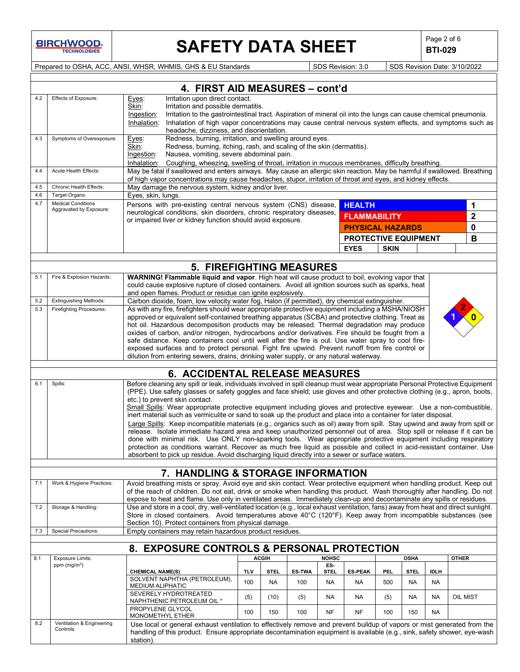**BIRCHWOOD** 

# **SAFETY DATA SHEET**  $\left|\begin{array}{c} \text{Page 2 of 6} \\ \text{BIT-029} \end{array}\right|$

**BTI-029**

Prepared to OSHA, ACC, ANSI, WHSR, WHMIS, GHS & EU Standards SDS Revision: 3.0 SDS Revision Date: 3/10/2022

|            |                                                                                                                                                                                                                                                                                                                                                                                                                                                                         | 4. FIRST AID MEASURES - cont'd                                                                                                                                                                                                                                                                                                                                                                  |                                                                                                                                                                                                                                                                                            |                          |                      |                          |                                      |             |                          |                          |              |
|------------|-------------------------------------------------------------------------------------------------------------------------------------------------------------------------------------------------------------------------------------------------------------------------------------------------------------------------------------------------------------------------------------------------------------------------------------------------------------------------|-------------------------------------------------------------------------------------------------------------------------------------------------------------------------------------------------------------------------------------------------------------------------------------------------------------------------------------------------------------------------------------------------|--------------------------------------------------------------------------------------------------------------------------------------------------------------------------------------------------------------------------------------------------------------------------------------------|--------------------------|----------------------|--------------------------|--------------------------------------|-------------|--------------------------|--------------------------|--------------|
| 4.2        | Effects of Exposure:                                                                                                                                                                                                                                                                                                                                                                                                                                                    | Irritation upon direct contact.<br>Eyes:<br>Skin:<br>Irritation and possible dermatitis.<br>Irritation to the gastrointestinal tract. Aspiration of mineral oil into the lungs can cause chemical pneumonia.<br>Ingestion:<br>Inhalation:<br>Inhalation of high vapor concentrations may cause central nervous system effects, and symptoms such as<br>headache, dizziness, and disorientation. |                                                                                                                                                                                                                                                                                            |                          |                      |                          |                                      |             |                          |                          |              |
| 4.3        | Symptoms of Overexposure:                                                                                                                                                                                                                                                                                                                                                                                                                                               | Eyes:<br>Skin:<br>Ingestion:                                                                                                                                                                                                                                                                                                                                                                    | Redness, burning, irritation, and swelling around eyes.<br>Redness, burning, itching, rash, and scaling of the skin (dermatitis).<br>Nausea, vomiting, severe abdominal pain.<br>Inhalation: Coughing, wheezing, swelling of throat, irritation in mucous membranes, difficulty breathing. |                          |                      |                          |                                      |             |                          |                          |              |
| 4.4        | Acute Health Effects:                                                                                                                                                                                                                                                                                                                                                                                                                                                   | May be fatal if swallowed and enters airways. May cause an allergic skin reaction. May be harmful if swallowed. Breathing<br>of high vapor concentrations may cause headaches, stupor, irritation of throat and eyes, and kidney effects.                                                                                                                                                       |                                                                                                                                                                                                                                                                                            |                          |                      |                          |                                      |             |                          |                          |              |
| 4.5        | Chronic Health Effects:                                                                                                                                                                                                                                                                                                                                                                                                                                                 | May damage the nervous system, kidney and/or liver.                                                                                                                                                                                                                                                                                                                                             |                                                                                                                                                                                                                                                                                            |                          |                      |                          |                                      |             |                          |                          |              |
| 4.6<br>4.7 | Target Organs:<br><b>Medical Conditions</b>                                                                                                                                                                                                                                                                                                                                                                                                                             | Eyes, skin, lungs.<br>Persons with pre-existing central nervous system (CNS) disease,                                                                                                                                                                                                                                                                                                           |                                                                                                                                                                                                                                                                                            |                          |                      |                          |                                      |             |                          |                          |              |
|            | Aggravated by Exposure:                                                                                                                                                                                                                                                                                                                                                                                                                                                 | neurological conditions, skin disorders, chronic respiratory diseases,                                                                                                                                                                                                                                                                                                                          |                                                                                                                                                                                                                                                                                            |                          |                      |                          | <b>HEALTH</b><br><b>FLAMMABILITY</b> |             |                          | 1<br>$\mathbf{2}$        |              |
|            |                                                                                                                                                                                                                                                                                                                                                                                                                                                                         | or impaired liver or kidney function should avoid exposure.                                                                                                                                                                                                                                                                                                                                     |                                                                                                                                                                                                                                                                                            |                          |                      |                          | <b>PHYSICAL HAZARDS</b>              |             |                          |                          | 0            |
|            |                                                                                                                                                                                                                                                                                                                                                                                                                                                                         |                                                                                                                                                                                                                                                                                                                                                                                                 |                                                                                                                                                                                                                                                                                            |                          |                      |                          | PROTECTIVE EQUIPMENT                 |             |                          |                          | B            |
|            |                                                                                                                                                                                                                                                                                                                                                                                                                                                                         |                                                                                                                                                                                                                                                                                                                                                                                                 |                                                                                                                                                                                                                                                                                            |                          |                      |                          | <b>EYES</b>                          | <b>SKIN</b> |                          |                          |              |
|            |                                                                                                                                                                                                                                                                                                                                                                                                                                                                         |                                                                                                                                                                                                                                                                                                                                                                                                 |                                                                                                                                                                                                                                                                                            |                          |                      |                          |                                      |             |                          |                          |              |
|            |                                                                                                                                                                                                                                                                                                                                                                                                                                                                         | <b>5. FIREFIGHTING MEASURES</b>                                                                                                                                                                                                                                                                                                                                                                 |                                                                                                                                                                                                                                                                                            |                          |                      |                          |                                      |             |                          |                          |              |
| 5.1        | Fire & Explosion Hazards:                                                                                                                                                                                                                                                                                                                                                                                                                                               | WARNING! Flammable liquid and vapor. High heat will cause product to boil, evolving vapor that<br>could cause explosive rupture of closed containers. Avoid all ignition sources such as sparks, heat<br>and open flames. Product or residue can ignite explosively.                                                                                                                            |                                                                                                                                                                                                                                                                                            |                          |                      |                          |                                      |             |                          |                          |              |
| 5.2        | <b>Extinguishing Methods:</b>                                                                                                                                                                                                                                                                                                                                                                                                                                           | Carbon dioxide, foam, low velocity water fog, Halon (if permitted), dry chemical extinguisher.                                                                                                                                                                                                                                                                                                  |                                                                                                                                                                                                                                                                                            |                          |                      |                          |                                      |             |                          |                          |              |
| 5.3        | <b>Firefighting Procedures:</b>                                                                                                                                                                                                                                                                                                                                                                                                                                         | As with any fire, firefighters should wear appropriate protective equipment including a MSHA/NIOSH<br>approved or equivalent self-contained breathing apparatus (SCBA) and protective clothing. Treat as                                                                                                                                                                                        |                                                                                                                                                                                                                                                                                            |                          |                      |                          |                                      |             |                          |                          |              |
|            |                                                                                                                                                                                                                                                                                                                                                                                                                                                                         | hot oil. Hazardous decomposition products may be released. Thermal degradation may produce<br>oxides of carbon, and/or nitrogen, hydrocarbons and/or derivatives. Fire should be fought from a<br>safe distance. Keep containers cool until well after the fire is out. Use water spray to cool fire-                                                                                           |                                                                                                                                                                                                                                                                                            |                          |                      |                          |                                      |             |                          |                          |              |
|            |                                                                                                                                                                                                                                                                                                                                                                                                                                                                         | exposed surfaces and to protect personal. Fight fire upwind. Prevent runoff from fire control or<br>dilution from entering sewers, drains, drinking water supply, or any natural waterway.                                                                                                                                                                                                      |                                                                                                                                                                                                                                                                                            |                          |                      |                          |                                      |             |                          |                          |              |
|            |                                                                                                                                                                                                                                                                                                                                                                                                                                                                         |                                                                                                                                                                                                                                                                                                                                                                                                 |                                                                                                                                                                                                                                                                                            |                          |                      |                          |                                      |             |                          |                          |              |
| 6.1        | <b>6. ACCIDENTAL RELEASE MEASURES</b><br>Before cleaning any spill or leak, individuals involved in spill cleanup must wear appropriate Personal Protective Equipment<br>Spills:<br>(PPE). Use safety glasses or safety goggles and face shield; use gloves and other protective clothing (e.g., apron, boots,<br>etc.) to prevent skin contact.<br>Small Spills: Wear appropriate protective equipment including gloves and protective eyewear. Use a non-combustible, |                                                                                                                                                                                                                                                                                                                                                                                                 |                                                                                                                                                                                                                                                                                            |                          |                      |                          |                                      |             |                          |                          |              |
|            |                                                                                                                                                                                                                                                                                                                                                                                                                                                                         | inert material such as vermiculite or sand to soak up the product and place into a container for later disposal.<br>Large Spills: Keep incompatible materials (e.g., organics such as oil) away from spill. Stay upwind and away from spill or<br>release. Isolate immediate hazard area and keep unauthorized personnel out of area. Stop spill or release if it can be                        |                                                                                                                                                                                                                                                                                            |                          |                      |                          |                                      |             |                          |                          |              |
|            |                                                                                                                                                                                                                                                                                                                                                                                                                                                                         | done with minimal risk. Use ONLY non-sparking tools. Wear appropriate protective equipment including respiratory<br>protection as conditions warrant. Recover as much free liquid as possible and collect in acid-resistant container. Use                                                                                                                                                      |                                                                                                                                                                                                                                                                                            |                          |                      |                          |                                      |             |                          |                          |              |
|            |                                                                                                                                                                                                                                                                                                                                                                                                                                                                         | absorbent to pick up residue. Avoid discharging liquid directly into a sewer or surface waters.                                                                                                                                                                                                                                                                                                 |                                                                                                                                                                                                                                                                                            |                          |                      |                          |                                      |             |                          |                          |              |
|            |                                                                                                                                                                                                                                                                                                                                                                                                                                                                         | 7. HANDLING & STORAGE INFORMATION                                                                                                                                                                                                                                                                                                                                                               |                                                                                                                                                                                                                                                                                            |                          |                      |                          |                                      |             |                          |                          |              |
| 7.1        | Work & Hygiene Practices:                                                                                                                                                                                                                                                                                                                                                                                                                                               | Avoid breathing mists or spray. Avoid eye and skin contact. Wear protective equipment when handling product. Keep out                                                                                                                                                                                                                                                                           |                                                                                                                                                                                                                                                                                            |                          |                      |                          |                                      |             |                          |                          |              |
|            |                                                                                                                                                                                                                                                                                                                                                                                                                                                                         | of the reach of children. Do not eat, drink or smoke when handling this product. Wash thoroughly after handling. Do not<br>expose to heat and flame. Use only in ventilated areas. Immediately clean-up and decontaminate any spills or residues.                                                                                                                                               |                                                                                                                                                                                                                                                                                            |                          |                      |                          |                                      |             |                          |                          |              |
| 7.2        | Storage & Handling:                                                                                                                                                                                                                                                                                                                                                                                                                                                     | Use and store in a cool, dry, well-ventilated location (e.g., local exhaust ventilation, fans) away from heat and direct sunlight.<br>Store in closed containers. Avoid temperatures above 40°C (120°F). Keep away from incompatible substances (see                                                                                                                                            |                                                                                                                                                                                                                                                                                            |                          |                      |                          |                                      |             |                          |                          |              |
| 7.3        | <b>Special Precautions:</b>                                                                                                                                                                                                                                                                                                                                                                                                                                             | Section 10). Protect containers from physical damage.<br>Empty containers may retain hazardous product residues.                                                                                                                                                                                                                                                                                |                                                                                                                                                                                                                                                                                            |                          |                      |                          |                                      |             |                          |                          |              |
|            |                                                                                                                                                                                                                                                                                                                                                                                                                                                                         |                                                                                                                                                                                                                                                                                                                                                                                                 |                                                                                                                                                                                                                                                                                            |                          |                      |                          |                                      |             |                          |                          |              |
|            |                                                                                                                                                                                                                                                                                                                                                                                                                                                                         | 8. EXPOSURE CONTROLS & PERSONAL PROTECTION                                                                                                                                                                                                                                                                                                                                                      |                                                                                                                                                                                                                                                                                            |                          |                      |                          |                                      |             |                          |                          |              |
| 8.1        | <b>Exposure Limits:</b><br>ppm $(mg/m3)$                                                                                                                                                                                                                                                                                                                                                                                                                                |                                                                                                                                                                                                                                                                                                                                                                                                 |                                                                                                                                                                                                                                                                                            | <b>ACGIH</b>             |                      | <b>NOHSC</b><br>ES-      |                                      |             | <b>OSHA</b>              |                          | <b>OTHER</b> |
|            |                                                                                                                                                                                                                                                                                                                                                                                                                                                                         | <b>CHEMICAL NAME(S)</b><br>SOLVENT NAPHTHA (PETROLEUM),                                                                                                                                                                                                                                                                                                                                         | <b>TLV</b><br>100                                                                                                                                                                                                                                                                          | <b>STEL</b><br><b>NA</b> | <b>ES-TWA</b><br>100 | <b>STEL</b><br><b>NA</b> | <b>ES-PEAK</b><br><b>NA</b>          | PEL.<br>500 | <b>STEL</b><br><b>NA</b> | <b>IDLH</b><br><b>NA</b> |              |
|            |                                                                                                                                                                                                                                                                                                                                                                                                                                                                         | MEDIUM ALIPHATIC<br>SEVERELY HYDROTREATED                                                                                                                                                                                                                                                                                                                                                       | (5)                                                                                                                                                                                                                                                                                        | (10)                     | (5)                  | NA                       | NA                                   | (5)         | <b>NA</b>                | <b>NA</b>                | OIL MIST     |
|            |                                                                                                                                                                                                                                                                                                                                                                                                                                                                         | NAPHTHENIC PETROLEUM OIL *<br>PROPYLENE GLYCOL                                                                                                                                                                                                                                                                                                                                                  | 100                                                                                                                                                                                                                                                                                        | 150                      | 100                  | NF                       | <b>NF</b>                            | 100         | 150                      | NA                       |              |
| 8.2        | Ventilation & Engineering                                                                                                                                                                                                                                                                                                                                                                                                                                               | MONOMETHYL ETHER                                                                                                                                                                                                                                                                                                                                                                                |                                                                                                                                                                                                                                                                                            |                          |                      |                          |                                      |             |                          |                          |              |
|            | Controls:                                                                                                                                                                                                                                                                                                                                                                                                                                                               | Use local or general exhaust ventilation to effectively remove and prevent buildup of vapors or mist generated from the<br>handling of this product. Ensure appropriate decontamination equipment is available (e.g., sink, safety shower, eye-wash<br>station).                                                                                                                                |                                                                                                                                                                                                                                                                                            |                          |                      |                          |                                      |             |                          |                          |              |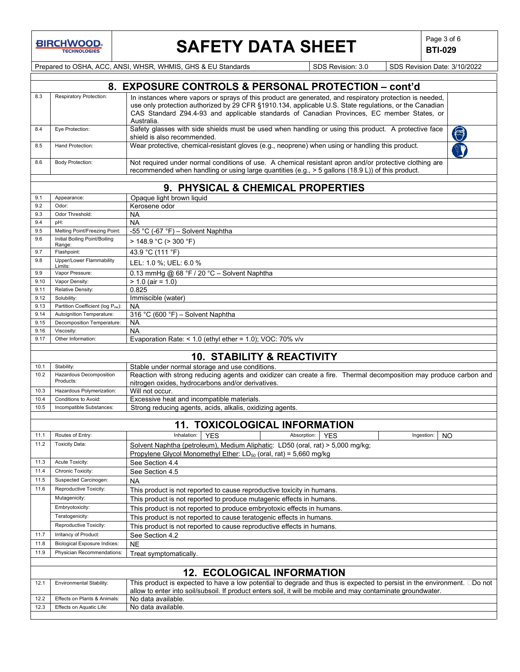

# **SAFETY DATA SHEET**  $\left|\begin{array}{c} \mathsf{Page 3 of 6} \\ \mathsf{BTl-029} \end{array}\right|$

**BTI-029**

Prepared to OSHA, ACC, ANSI, WHSR, WHMIS, GHS & EU Standards Subsetsion: 3.0 SDS Revision: 3.0 SDS Revision Date: 3/10/2022

|              |                                                                   | 8. EXPOSURE CONTROLS & PERSONAL PROTECTION – cont'd                                                                                                                                                         |  |  |  |  |  |
|--------------|-------------------------------------------------------------------|-------------------------------------------------------------------------------------------------------------------------------------------------------------------------------------------------------------|--|--|--|--|--|
| 8.3          | Respiratory Protection:                                           | In instances where vapors or sprays of this product are generated, and respiratory protection is needed,                                                                                                    |  |  |  |  |  |
|              |                                                                   | use only protection authorized by 29 CFR §1910.134, applicable U.S. State regulations, or the Canadian                                                                                                      |  |  |  |  |  |
|              |                                                                   | CAS Standard Z94.4-93 and applicable standards of Canadian Provinces, EC member States, or                                                                                                                  |  |  |  |  |  |
|              |                                                                   | Australia.                                                                                                                                                                                                  |  |  |  |  |  |
| 8.4          | Eye Protection:                                                   | Safety glasses with side shields must be used when handling or using this product. A protective face<br>$\bigcirc$                                                                                          |  |  |  |  |  |
|              |                                                                   | shield is also recommended.                                                                                                                                                                                 |  |  |  |  |  |
| 8.5          | Hand Protection:                                                  | Wear protective, chemical-resistant gloves (e.g., neoprene) when using or handling this product.                                                                                                            |  |  |  |  |  |
|              |                                                                   |                                                                                                                                                                                                             |  |  |  |  |  |
| 8.6          | <b>Body Protection:</b>                                           | Not required under normal conditions of use. A chemical resistant apron and/or protective clothing are<br>recommended when handling or using large quantities (e.g., > 5 gallons (18.9 L)) of this product. |  |  |  |  |  |
|              |                                                                   |                                                                                                                                                                                                             |  |  |  |  |  |
|              |                                                                   | 9. PHYSICAL & CHEMICAL PROPERTIES                                                                                                                                                                           |  |  |  |  |  |
| 9.1          | Appearance:                                                       | Opaque light brown liquid                                                                                                                                                                                   |  |  |  |  |  |
| 9.2          | Odor:                                                             | Kerosene odor                                                                                                                                                                                               |  |  |  |  |  |
| 9.3          | Odor Threshold:                                                   | NA                                                                                                                                                                                                          |  |  |  |  |  |
| 9.4          | pH:                                                               | <b>NA</b>                                                                                                                                                                                                   |  |  |  |  |  |
| 9.5          | Melting Point/Freezing Point:                                     | -55 °C (-67 °F) - Solvent Naphtha                                                                                                                                                                           |  |  |  |  |  |
| 9.6          | Initial Boiling Point/Boiling<br>Range:                           | > 148.9 °C (> 300 °F)                                                                                                                                                                                       |  |  |  |  |  |
| 9.7          | Flashpoint:                                                       | 43.9 °C (111 °F)                                                                                                                                                                                            |  |  |  |  |  |
| 9.8          | Upper/Lower Flammability                                          | LEL: 1.0 %; UEL: 6.0 %                                                                                                                                                                                      |  |  |  |  |  |
|              | Limits:                                                           |                                                                                                                                                                                                             |  |  |  |  |  |
| 9.9          | Vapor Pressure:                                                   | 0.13 mmHg @ 68 °F / 20 °C - Solvent Naphtha                                                                                                                                                                 |  |  |  |  |  |
| 9.10         | Vapor Density:                                                    | $> 1.0$ (air = 1.0)                                                                                                                                                                                         |  |  |  |  |  |
| 9.11<br>9.12 | Relative Density:<br>Solubility:                                  | 0.825<br>Immiscible (water)                                                                                                                                                                                 |  |  |  |  |  |
| 9.13         | Partition Coefficient (log Pow):                                  | <b>NA</b>                                                                                                                                                                                                   |  |  |  |  |  |
| 9.14         | Autoignition Temperature:                                         | 316 °C (600 °F) - Solvent Naphtha                                                                                                                                                                           |  |  |  |  |  |
| 9.15         | Decomposition Temperature:                                        | <b>NA</b>                                                                                                                                                                                                   |  |  |  |  |  |
| 9.16         | Viscosity:                                                        | <b>NA</b>                                                                                                                                                                                                   |  |  |  |  |  |
| 9.17         | Other Information:                                                | Evaporation Rate: < $1.0$ (ethyl ether = $1.0$ ); VOC: 70% v/v                                                                                                                                              |  |  |  |  |  |
|              |                                                                   |                                                                                                                                                                                                             |  |  |  |  |  |
|              |                                                                   | <b>10. STABILITY &amp; REACTIVITY</b>                                                                                                                                                                       |  |  |  |  |  |
| 10.1         | Stability:                                                        | Stable under normal storage and use conditions.                                                                                                                                                             |  |  |  |  |  |
| 10.2         | Hazardous Decomposition                                           | Reaction with strong reducing agents and oxidizer can create a fire. Thermal decomposition may produce carbon and                                                                                           |  |  |  |  |  |
|              | Products:                                                         | nitrogen oxides, hydrocarbons and/or derivatives.                                                                                                                                                           |  |  |  |  |  |
| 10.3         | Hazardous Polymerization:                                         | Will not occur.                                                                                                                                                                                             |  |  |  |  |  |
| 10.4<br>10.5 | Conditions to Avoid:<br>Incompatible Substances:                  | Excessive heat and incompatible materials.<br>Strong reducing agents, acids, alkalis, oxidizing agents.                                                                                                     |  |  |  |  |  |
|              |                                                                   |                                                                                                                                                                                                             |  |  |  |  |  |
|              |                                                                   | <b>11. TOXICOLOGICAL INFORMATION</b>                                                                                                                                                                        |  |  |  |  |  |
| 11.1         | Routes of Entry:                                                  | Inhalation:<br>Absorption:<br><b>YES</b><br><b>YES</b><br>Ingestion:<br>NO                                                                                                                                  |  |  |  |  |  |
| 11.2         | <b>Toxicity Data:</b>                                             | Solvent Naphtha (petroleum), Medium Aliphatic: LD50 (oral, rat) > 5,000 mg/kg;                                                                                                                              |  |  |  |  |  |
|              |                                                                   | Propylene Glycol Monomethyl Ether: $LD_{50}$ (oral, rat) = 5,660 mg/kg                                                                                                                                      |  |  |  |  |  |
| 11.3         | Acute Toxicity:                                                   | See Section 4.4                                                                                                                                                                                             |  |  |  |  |  |
| 11.4         | Chronic Toxicity:                                                 | See Section 4.5                                                                                                                                                                                             |  |  |  |  |  |
| 11.5         | Suspected Carcinogen:                                             | <b>NA</b>                                                                                                                                                                                                   |  |  |  |  |  |
| 11.6         | Reproductive Toxicity:                                            | This product is not reported to cause reproductive toxicity in humans.                                                                                                                                      |  |  |  |  |  |
|              | Mutagenicity:                                                     |                                                                                                                                                                                                             |  |  |  |  |  |
|              | Embryotoxicity:                                                   | This product is not reported to produce mutagenic effects in humans.                                                                                                                                        |  |  |  |  |  |
|              | Teratogenicity:                                                   | This product is not reported to produce embryotoxic effects in humans.                                                                                                                                      |  |  |  |  |  |
|              |                                                                   | This product is not reported to cause teratogenic effects in humans.                                                                                                                                        |  |  |  |  |  |
| 11.7         | Reproductive Toxicity:<br>Irritancy of Product:                   | This product is not reported to cause reproductive effects in humans.                                                                                                                                       |  |  |  |  |  |
|              |                                                                   | See Section 4.2                                                                                                                                                                                             |  |  |  |  |  |
| 11.8<br>11.9 | <b>Biological Exposure Indices:</b><br>Physician Recommendations: | <b>NE</b>                                                                                                                                                                                                   |  |  |  |  |  |
|              |                                                                   | Treat symptomatically.                                                                                                                                                                                      |  |  |  |  |  |
|              |                                                                   | <b>12. ECOLOGICAL INFORMATION</b>                                                                                                                                                                           |  |  |  |  |  |
| 12.1         | Environmental Stability:                                          | This product is expected to have a low potential to degrade and thus is expected to persist in the environment. □Do not                                                                                     |  |  |  |  |  |
|              |                                                                   | allow to enter into soil/subsoil. If product enters soil, it will be mobile and may contaminate groundwater.                                                                                                |  |  |  |  |  |
| 12.2         | Effects on Plants & Animals:                                      | No data available.                                                                                                                                                                                          |  |  |  |  |  |
| 12.3         | Effects on Aquatic Life:                                          | No data available.                                                                                                                                                                                          |  |  |  |  |  |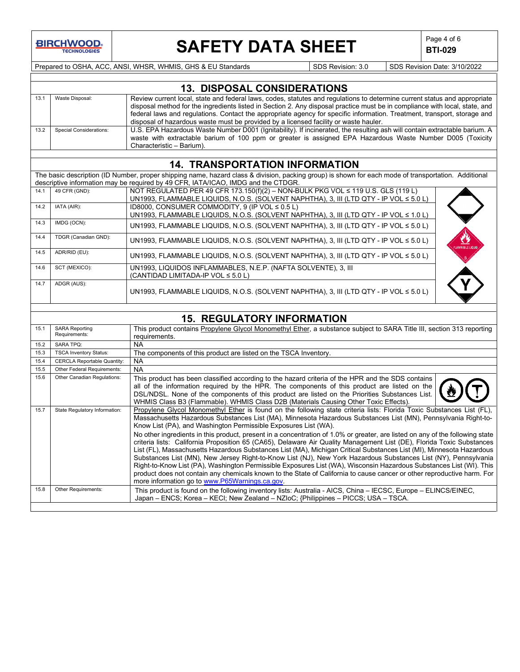

# **SAFETY DATA SHEET**  $\left|\begin{array}{c} \text{Page 4 of 6} \\ \text{BTI-029} \end{array}\right|$

**BTI-029**

Prepared to OSHA, ACC, ANSI, WHSR, WHMIS, GHS & EU Standards Superinted SDS Revision: 3.0 SDS Revision Date: 3/10/2022

|      | <b>13. DISPOSAL CONSIDERATIONS</b> |                                                                                                                                                                                                                                                                     |  |  |  |
|------|------------------------------------|---------------------------------------------------------------------------------------------------------------------------------------------------------------------------------------------------------------------------------------------------------------------|--|--|--|
| 13.7 | Waste Disposal:                    | Review current local, state and federal laws, codes, statutes and regulations to determine current status and appropriate<br>disposal method for the ingredients listed in Section 2. Any disposal practice must be in compliance with local, state, and            |  |  |  |
|      |                                    | federal laws and regulations. Contact the appropriate agency for specific information. Treatment, transport, storage and<br>disposal of hazardous waste must be provided by a licensed facility or waste hauler.                                                    |  |  |  |
| 13.2 | Special Considerations:            | U.S. EPA Hazardous Waste Number D001 (Ignitability). If incinerated, the resulting ash will contain extractable barium. A<br>waste with extractable barium of 100 ppm or greater is assigned EPA Hazardous Waste Number D005 (Toxicity<br>Characteristic - Barium). |  |  |  |

### **14. TRANSPORTATION INFORMATION**

The basic description (ID Number, proper shipping name, hazard class & division, packing group) is shown for each mode of transportation. Additional descriptive information may be required by 49 CFR, IATA/ICAO, IMDG and the CTDGR.

| 14.1 | 49 CFR (GND):        | NOT REGULATED PER 49 CFR 173.150(f)(2) - NON-BULK PKG VOL ≤ 119 U.S. GLS (119 L)                     |                            |
|------|----------------------|------------------------------------------------------------------------------------------------------|----------------------------|
|      |                      | UN1993, FLAMMABLE LIQUIDS, N.O.S. (SOLVENT NAPHTHA), 3, III (LTD QTY - IP VOL ≤ 5.0 L)               |                            |
| 14.2 | IATA (AIR):          | ID8000, CONSUMER COMMODITY, 9 (IP VOL $\leq$ 0.5 L)                                                  |                            |
|      |                      | UN1993, FLAMMABLE LIQUIDS, N.O.S. (SOLVENT NAPHTHA), 3, III (LTD QTY - IP VOL ≤ 1.0 L)               |                            |
| 14.3 | IMDG (OCN):          | UN1993, FLAMMABLE LIQUIDS, N.O.S. (SOLVENT NAPHTHA), 3, III (LTD QTY - IP VOL ≤ 5.0 L)               |                            |
| 14.4 | TDGR (Canadian GND): | UN1993, FLAMMABLE LIQUIDS, N.O.S. (SOLVENT NAPHTHA), 3, III (LTD QTY - IP VOL ≤ 5.0 L)               | ≝<br>.<br>Flammable liquit |
| 14.5 | ADR/RID (EU):        | UN1993, FLAMMABLE LIQUIDS, N.O.S. (SOLVENT NAPHTHA), 3, III (LTD QTY - IP VOL ≤ 5.0 L)               |                            |
| 14.6 | SCT (MEXICO):        | UN1993, LIQUIDOS INFLAMMABLES, N.E.P. (NAFTA SOLVENTE), 3, III<br>(CANTIDAD LIMITADA-IP VOL ≤ 5.0 L) |                            |
| 14.7 | ADGR (AUS):          |                                                                                                      |                            |
|      |                      | UN1993, FLAMMABLE LIQUIDS, N.O.S. (SOLVENT NAPHTHA), 3, III (LTD QTY - IP VOL ≤ 5.0 L)               |                            |

## **15. REGULATORY INFORMATION**

| 15.1 | <b>SARA Reporting</b><br>Requirements: | This product contains Propylene Glycol Monomethyl Ether, a substance subject to SARA Title III, section 313 reporting<br>requirements.                                                                                                                                                                                                                                                                                                                                                                                                                                                                                                                                                                                                                                                                                                                                                                                                                                                                                                                                                                              |
|------|----------------------------------------|---------------------------------------------------------------------------------------------------------------------------------------------------------------------------------------------------------------------------------------------------------------------------------------------------------------------------------------------------------------------------------------------------------------------------------------------------------------------------------------------------------------------------------------------------------------------------------------------------------------------------------------------------------------------------------------------------------------------------------------------------------------------------------------------------------------------------------------------------------------------------------------------------------------------------------------------------------------------------------------------------------------------------------------------------------------------------------------------------------------------|
| 15.2 | <b>SARA TPQ:</b>                       | NA.                                                                                                                                                                                                                                                                                                                                                                                                                                                                                                                                                                                                                                                                                                                                                                                                                                                                                                                                                                                                                                                                                                                 |
| 15.3 | <b>TSCA Inventory Status:</b>          | The components of this product are listed on the TSCA Inventory.                                                                                                                                                                                                                                                                                                                                                                                                                                                                                                                                                                                                                                                                                                                                                                                                                                                                                                                                                                                                                                                    |
| 15.4 | <b>CERCLA Reportable Quantity:</b>     | <b>NA</b>                                                                                                                                                                                                                                                                                                                                                                                                                                                                                                                                                                                                                                                                                                                                                                                                                                                                                                                                                                                                                                                                                                           |
| 15.5 | Other Federal Requirements:            | <b>NA</b>                                                                                                                                                                                                                                                                                                                                                                                                                                                                                                                                                                                                                                                                                                                                                                                                                                                                                                                                                                                                                                                                                                           |
| 15.6 | Other Canadian Regulations:            | This product has been classified according to the hazard criteria of the HPR and the SDS contains<br>all of the information required by the HPR. The components of this product are listed on the<br>DSL/NDSL. None of the components of this product are listed on the Priorities Substances List.<br>WHMIS Class B3 (Flammable). WHMIS Class D2B (Materials Causing Other Toxic Effects).                                                                                                                                                                                                                                                                                                                                                                                                                                                                                                                                                                                                                                                                                                                         |
| 15.7 | State Regulatory Information:          | Propylene Glycol Monomethyl Ether is found on the following state criteria lists: Florida Toxic Substances List (FL),<br>Massachusetts Hazardous Substances List (MA), Minnesota Hazardous Substances List (MN), Pennsylvania Right-to-<br>Know List (PA), and Washington Permissible Exposures List (WA).<br>No other ingredients in this product, present in a concentration of 1.0% or greater, are listed on any of the following state<br>criteria lists: California Proposition 65 (CA65), Delaware Air Quality Management List (DE), Florida Toxic Substances<br>List (FL), Massachusetts Hazardous Substances List (MA), Michigan Critical Substances List (MI), Minnesota Hazardous<br>Substances List (MN), New Jersey Right-to-Know List (NJ), New York Hazardous Substances List (NY), Pennsylvania<br>Right-to-Know List (PA), Washington Permissible Exposures List (WA), Wisconsin Hazardous Substances List (WI). This<br>product does not contain any chemicals known to the State of California to cause cancer or other reproductive harm. For<br>more information go to www.P65Warnings.ca.gov. |
| 15.8 | Other Requirements:                    | This product is found on the following inventory lists: Australia - AICS, China - IECSC, Europe - ELINCS/EINEC,<br>Japan – ENCS: Korea – KECI: New Zealand – NZIoC: {Philippines – PICCS: USA – TSCA.                                                                                                                                                                                                                                                                                                                                                                                                                                                                                                                                                                                                                                                                                                                                                                                                                                                                                                               |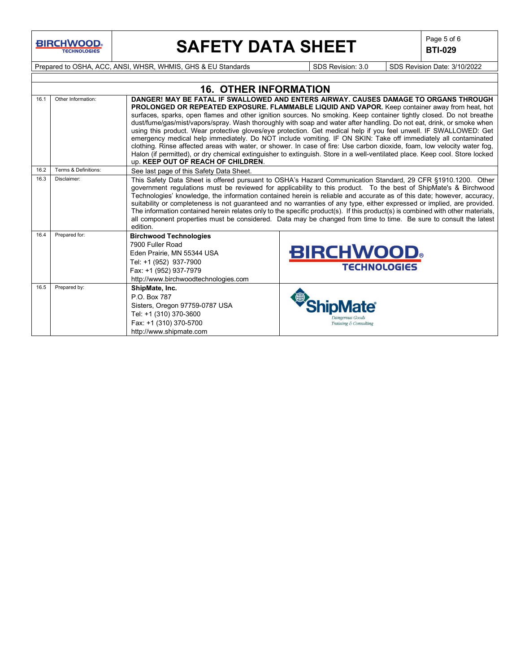**BIRCHWOOD** 

# **SAFETY DATA SHEET**  $\left|\begin{array}{cc} \text{Page 5 of 6} \\ \text{BIT-029} \end{array}\right|$

**BTI-029**

Prepared to OSHA, ACC, ANSI, WHSR, WHMIS, GHS & EU Standards Superinted SDS Revision: 3.0 SDS Revision Date: 3/10/2022

|      | <b>16. OTHER INFORMATION</b> |                                                                                                                                                                             |                                                                                                                                                                                                                                                                                                                                                                                                                                                                                                                                                                                                                                                                                                                                                                                                                                                                                                                                          |  |  |  |  |  |
|------|------------------------------|-----------------------------------------------------------------------------------------------------------------------------------------------------------------------------|------------------------------------------------------------------------------------------------------------------------------------------------------------------------------------------------------------------------------------------------------------------------------------------------------------------------------------------------------------------------------------------------------------------------------------------------------------------------------------------------------------------------------------------------------------------------------------------------------------------------------------------------------------------------------------------------------------------------------------------------------------------------------------------------------------------------------------------------------------------------------------------------------------------------------------------|--|--|--|--|--|
| 16.1 | Other Information:           | up. KEEP OUT OF REACH OF CHILDREN.                                                                                                                                          | DANGER! MAY BE FATAL IF SWALLOWED AND ENTERS AIRWAY, CAUSES DAMAGE TO ORGANS THROUGH<br>PROLONGED OR REPEATED EXPOSURE. FLAMMABLE LIQUID AND VAPOR. Keep container away from heat, hot<br>surfaces, sparks, open flames and other ignition sources. No smoking. Keep container tightly closed. Do not breathe<br>dust/fume/gas/mist/vapors/spray. Wash thoroughly with soap and water after handling. Do not eat, drink, or smoke when<br>using this product. Wear protective gloves/eye protection. Get medical help if you feel unwell. IF SWALLOWED: Get<br>emergency medical help immediately. Do NOT include vomiting. IF ON SKIN: Take off immediately all contaminated<br>clothing. Rinse affected areas with water, or shower. In case of fire: Use carbon dioxide, foam, low velocity water fog,<br>Halon (if permitted), or dry chemical extinguisher to extinguish. Store in a well-ventilated place. Keep cool. Store locked |  |  |  |  |  |
| 16.2 | Terms & Definitions:         | See last page of this Safety Data Sheet.                                                                                                                                    |                                                                                                                                                                                                                                                                                                                                                                                                                                                                                                                                                                                                                                                                                                                                                                                                                                                                                                                                          |  |  |  |  |  |
| 16.3 | Disclaimer:                  | edition.                                                                                                                                                                    | This Safety Data Sheet is offered pursuant to OSHA's Hazard Communication Standard, 29 CFR §1910.1200. Other<br>government regulations must be reviewed for applicability to this product. To the best of ShipMate's & Birchwood<br>Technologies' knowledge, the information contained herein is reliable and accurate as of this date; however, accuracy,<br>suitability or completeness is not guaranteed and no warranties of any type, either expressed or implied, are provided.<br>The information contained herein relates only to the specific product(s). If this product(s) is combined with other materials,<br>all component properties must be considered. Data may be changed from time to time. Be sure to consult the latest                                                                                                                                                                                             |  |  |  |  |  |
| 16.4 | Prepared for:                | <b>Birchwood Technologies</b><br>7900 Fuller Road<br>Eden Prairie, MN 55344 USA<br>Tel: +1 (952) 937-7900<br>Fax: +1 (952) 937-7979<br>http://www.birchwoodtechnologies.com | <b>BIRCHWOOD</b><br><b>TECHNOLOGIES</b>                                                                                                                                                                                                                                                                                                                                                                                                                                                                                                                                                                                                                                                                                                                                                                                                                                                                                                  |  |  |  |  |  |
| 16.5 | Prepared by:                 | ShipMate, Inc.<br>P O Box 787<br>Sisters, Oregon 97759-0787 USA<br>Tel: +1 (310) 370-3600<br>Fax: +1 (310) 370-5700<br>http://www.shipmate.com                              | Training & Consulting                                                                                                                                                                                                                                                                                                                                                                                                                                                                                                                                                                                                                                                                                                                                                                                                                                                                                                                    |  |  |  |  |  |